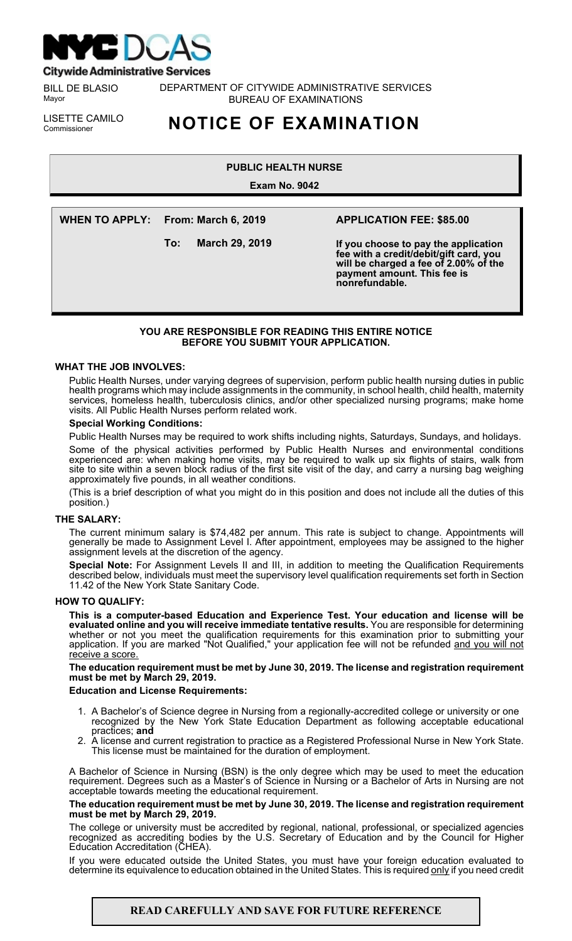

**Citywide Administrative Services** 

BILL DE BLASIO Mayor

DEPARTMENT OF CITYWIDE ADMINISTRATIVE SERVICES BUREAU OF EXAMINATIONS

LISETTE CAMILO<br>Commissioner

# Commissioner **NOTICE OF EXAMINATION**

# **PUBLIC HEALTH NURSE**

**Exam No. 9042**

**WHEN TO APPLY: From: March 6, 2019**

**To: March 29, 2019**

# **APPLICATION FEE: \$85.00**

**If you choose to pay the application fee with a credit/debit/gift card, you will be charged a fee of 2.00% of the payment amount. This fee is nonrefundable.**

## **YOU ARE RESPONSIBLE FOR READING THIS ENTIRE NOTICE BEFORE YOU SUBMIT YOUR APPLICATION.**

## **WHAT THE JOB INVOLVES:**

Public Health Nurses, under varying degrees of supervision, perform public health nursing duties in public health programs which may include assignments in the community, in school health, child health, maternity services, homeless health, tuberculosis clinics, and/or other specialized nursing programs; make home visits. All Public Health Nurses perform related work.

#### **Special Working Conditions:**

Public Health Nurses may be required to work shifts including nights, Saturdays, Sundays, and holidays.

Some of the physical activities performed by Public Health Nurses and environmental conditions experienced are: when making home visits, may be required to walk up six flights of stairs, walk from site to site within a seven block radius of the first site visit of the day, and carry a nursing bag weighing approximately five pounds, in all weather conditions.

(This is a brief description of what you might do in this position and does not include all the duties of this position.)

#### **THE SALARY:**

The current minimum salary is \$74,482 per annum. This rate is subject to change. Appointments will generally be made to Assignment Level I. After appointment, employees may be assigned to the higher assignment levels at the discretion of the agency.

**Special Note:** For Assignment Levels II and III, in addition to meeting the Qualification Requirements described below, individuals must meet the supervisory level qualification requirements set forth in Section 11.42 of the New York State Sanitary Code.

#### **HOW TO QUALIFY:**

**This is a computer-based Education and Experience Test. Your education and license will be evaluated online and you will receive immediate tentative results.** You are responsible for determining whether or not you meet the qualification requirements for this examination prior to submitting your application. If you are marked "Not Qualified," your application fee will not be refunded and you will not receive a score.

**The education requirement must be met by June 30, 2019. The license and registration requirement must be met by March 29, 2019.**

#### **Education and License Requirements:**

- 1. A Bachelor's of Science degree in Nursing from a regionally-accredited college or university or one recognized by the New York State Education Department as following acceptable educational practices; **and**
- 2. A license and current registration to practice as a Registered Professional Nurse in New York State. This license must be maintained for the duration of employment.

A Bachelor of Science in Nursing (BSN) is the only degree which may be used to meet the education requirement. Degrees such as a Master's of Science in Nursing or a Bachelor of Arts in Nursing are not acceptable towards meeting the educational requirement.

#### **The education requirement must be met by June 30, 2019. The license and registration requirement must be met by March 29, 2019.**

The college or university must be accredited by regional, national, professional, or specialized agencies recognized as accrediting bodies by the U.S. Secretary of Education and by the Council for Higher Education Accreditation (CHEA).

If you were educated outside the United States, you must have your foreign education evaluated to determine its equivalence to education obtained in the United States. This is required only if you need credit

# **READ CAREFULLY AND SAVE FOR FUTURE REFERENCE**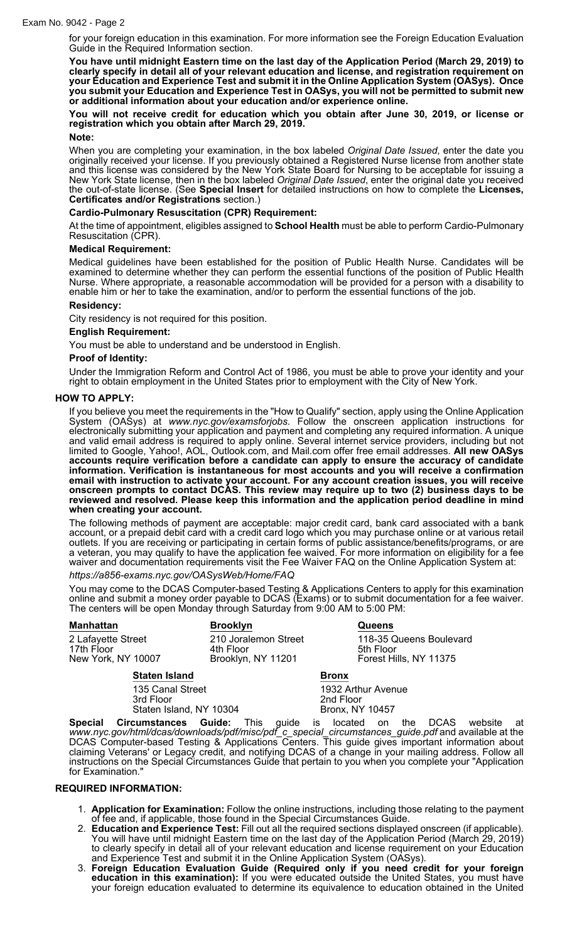for your foreign education in this examination. For more information see the Foreign Education Evaluation Guide in the Required Information section.

**You have until midnight Eastern time on the last day of the Application Period (March 29, 2019) to clearly specify in detail all of your relevant education and license, and registration requirement on your Education and Experience Test and submit it in the Online Application System (OASys). Once you submit your Education and Experience Test in OASys, you will not be permitted to submit new or additional information about your education and/or experience online.**

**You will not receive credit for education which you obtain after June 30, 2019, or license or registration which you obtain after March 29, 2019.**

## **Note:**

When you are completing your examination, in the box labeled *Original Date Issued*, enter the date you originally received your license. If you previously obtained a Registered Nurse license from another state and this license was considered by the New York State Board for Nursing to be acceptable for issuing a New York State license, then in the box labeled *Original Date Issued*, enter the original date you received the out-of-state license. (See **Special Insert** for detailed instructions on how to complete the **Licenses, Certificates and/or Registrations** section.)

#### **Cardio-Pulmonary Resuscitation (CPR) Requirement:**

At the time of appointment, eligibles assigned to **School Health** must be able to perform Cardio-Pulmonary Resuscitation (CPR).

## **Medical Requirement:**

Medical guidelines have been established for the position of Public Health Nurse. Candidates will be examined to determine whether they can perform the essential functions of the position of Public Health Nurse. Where appropriate, a reasonable accommodation will be provided for a person with a disability to enable him or her to take the examination, and/or to perform the essential functions of the job.

#### **Residency:**

City residency is not required for this position.

#### **English Requirement:**

You must be able to understand and be understood in English.

#### **Proof of Identity:**

Under the Immigration Reform and Control Act of 1986, you must be able to prove your identity and your right to obtain employment in the United States prior to employment with the City of New York.

#### **HOW TO APPLY:**

If you believe you meet the requirements in the "How to Qualify" section, apply using the Online Application System (OASys) at *www.nyc.gov/examsforjobs*. Follow the onscreen application instructions for electronically submitting your application and payment and completing any required information. A unique and valid email address is required to apply online. Several internet service providers, including but not limited to Google, Yahoo!, AOL, Outlook.com, and Mail.com offer free email addresses. **All new OASys accounts require verification before a candidate can apply to ensure the accuracy of candidate information. Verification is instantaneous for most accounts and you will receive a confirmation email with instruction to activate your account. For any account creation issues, you will receive onscreen prompts to contact DCAS. This review may require up to two (2) business days to be reviewed and resolved. Please keep this information and the application period deadline in mind when creating your account.**

The following methods of payment are acceptable: major credit card, bank card associated with a bank account, or a prepaid debit card with a credit card logo which you may purchase online or at various retail outlets. If you are receiving or participating in certain forms of public assistance/benefits/programs, or are a veteran, you may qualify to have the application fee waived. For more information on eligibility for a fee waiver and documentation requirements visit the Fee Waiver FAQ on the Online Application System at:

*https://a856-exams.nyc.gov/OASysWeb/Home/FAQ*

You may come to the DCAS Computer-based Testing & Applications Centers to apply for this examination online and submit a money order payable to DCAS (Exams) or to submit documentation for a fee waiver. The centers will be open Monday through Saturday from 9:00 AM to 5:00 PM:

| <b>Manhattan</b>                                         | <b>Brooklyn</b>                                         | <b>Queens</b>                                                  |
|----------------------------------------------------------|---------------------------------------------------------|----------------------------------------------------------------|
| 2 Lafayette Street<br>17th Floor<br>New York, NY 10007   | 210 Joralemon Street<br>4th Floor<br>Brooklyn, NY 11201 | 118-35 Queens Boulevard<br>5th Floor<br>Forest Hills, NY 11375 |
| <b>Staten Island</b>                                     |                                                         | <b>Bronx</b>                                                   |
| 135 Canal Street<br>3rd Floor<br>Staten Island, NY 10304 |                                                         | 1932 Arthur Avenue<br>2nd Floor<br>Bronx, NY 10457             |

**Special Circumstances Guide:** This guide is located on the DCAS website at *www.nyc.gov/html/dcas/downloads/pdf/misc/pdf\_c\_special\_circumstances\_guide.pdf* and available at the DCAS Computer-based Testing & Applications Centers. This guide gives important information about claiming Veterans' or Legacy credit, and notifying DCAS of a change in your mailing address. Follow all instructions on the Special Circumstances Guide that pertain to you when you complete your "Application for Examination."

#### **REQUIRED INFORMATION:**

- 1. **Application for Examination:** Follow the online instructions, including those relating to the payment of fee and, if applicable, those found in the Special Circumstances Guide.
- 2. **Education and Experience Test:** Fill out all the required sections displayed onscreen (if applicable). You will have until midnight Eastern time on the last day of the Application Period (March 29, 2019) to clearly specify in detail all of your relevant education and license requirement on your Education and Experience Test and submit it in the Online Application System (OASys).
- 3. **Foreign Education Evaluation Guide (Required only if you need credit for your foreign education in this examination):** If you were educated outside the United States, you must have your foreign education evaluated to determine its equivalence to education obtained in the United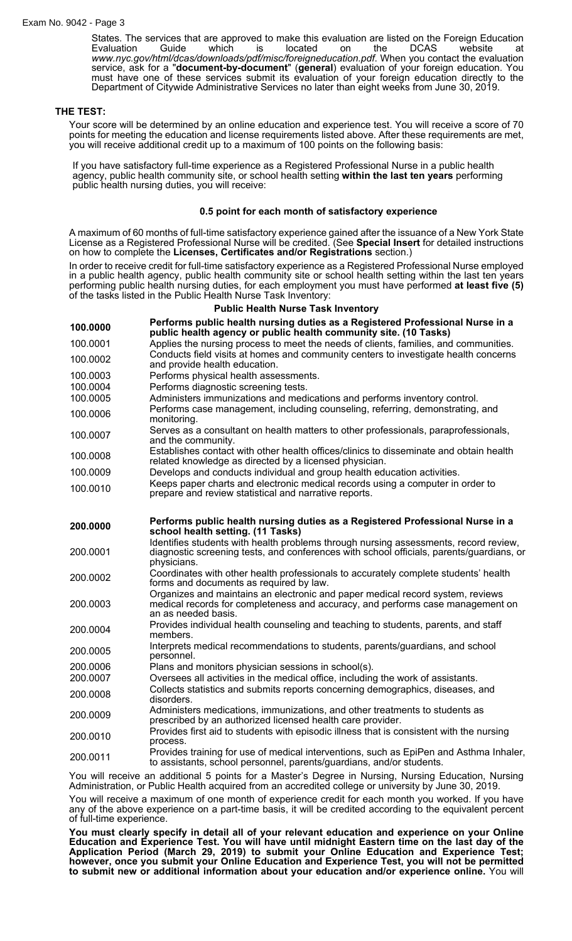States. The services that are approved to make this evaluation are listed on the Foreign Education<br>Evaluation Guide which is located on the DCAS website at Evaluation Guide which is located on the DCAS website at *www.nyc.gov/html/dcas/downloads/pdf/misc/foreigneducation.pdf*. When you contact the evaluation service, ask for a "**document-by-document**" (**general**) evaluation of your foreign education. You must have one of these services submit its evaluation of your foreign education directly to the Department of Citywide Administrative Services no later than eight weeks from June 30, 2019.

#### **THE TEST:**

Your score will be determined by an online education and experience test. You will receive a score of 70 points for meeting the education and license requirements listed above. After these requirements are met, you will receive additional credit up to a maximum of 100 points on the following basis:

If you have satisfactory full-time experience as a Registered Professional Nurse in a public health agency, public health community site, or school health setting **within the last ten years** performing public health nursing duties, you will receive:

#### **0.5 point for each month of satisfactory experience**

A maximum of 60 months of full-time satisfactory experience gained after the issuance of a New York State License as a Registered Professional Nurse will be credited. (See **Special Insert** for detailed instructions on how to complete the **Licenses, Certificates and/or Registrations** section.)

In order to receive credit for full-time satisfactory experience as a Registered Professional Nurse employed in a public health agency, public health community site or school health setting within the last ten years performing public health nursing duties, for each employment you must have performed **at least five (5)** of the tasks listed in the Public Health Nurse Task Inventory:

#### **Public Health Nurse Task Inventory**

| 100.0000 | Performs public health nursing duties as a Registered Professional Nurse in a<br>public health agency or public health community site. (10 Tasks)                                               |
|----------|-------------------------------------------------------------------------------------------------------------------------------------------------------------------------------------------------|
| 100.0001 | Applies the nursing process to meet the needs of clients, families, and communities.                                                                                                            |
| 100.0002 | Conducts field visits at homes and community centers to investigate health concerns<br>and provide health education.                                                                            |
| 100.0003 | Performs physical health assessments.                                                                                                                                                           |
| 100.0004 | Performs diagnostic screening tests.                                                                                                                                                            |
| 100.0005 | Administers immunizations and medications and performs inventory control.                                                                                                                       |
| 100.0006 | Performs case management, including counseling, referring, demonstrating, and<br>monitoring.                                                                                                    |
| 100.0007 | Serves as a consultant on health matters to other professionals, paraprofessionals,<br>and the community.                                                                                       |
| 100.0008 | Establishes contact with other health offices/clinics to disseminate and obtain health<br>related knowledge as directed by a licensed physician.                                                |
| 100.0009 | Develops and conducts individual and group health education activities.                                                                                                                         |
| 100.0010 | Keeps paper charts and electronic medical records using a computer in order to<br>prepare and review statistical and narrative reports.                                                         |
| 200.0000 | Performs public health nursing duties as a Registered Professional Nurse in a<br>school health setting. (11 Tasks)                                                                              |
| 200.0001 | Identifies students with health problems through nursing assessments, record review,<br>diagnostic screening tests, and conferences with school officials, parents/guardians, or<br>physicians. |
| 200.0002 | Coordinates with other health professionals to accurately complete students' health<br>forms and documents as required by law.                                                                  |
| 200.0003 | Organizes and maintains an electronic and paper medical record system, reviews<br>medical records for completeness and accuracy, and performs case management on<br>an as needed basis.         |
| 200.0004 | Provides individual health counseling and teaching to students, parents, and staff<br>members.                                                                                                  |
| 200.0005 | Interprets medical recommendations to students, parents/guardians, and school<br>personnel.                                                                                                     |
| 200.0006 | Plans and monitors physician sessions in school(s).                                                                                                                                             |
| 200.0007 | Oversees all activities in the medical office, including the work of assistants.                                                                                                                |
| 200.0008 | Collects statistics and submits reports concerning demographics, diseases, and<br>disorders.                                                                                                    |
| 200.0009 | Administers medications, immunizations, and other treatments to students as<br>prescribed by an authorized licensed health care provider.                                                       |
| 200.0010 | Provides first aid to students with episodic illness that is consistent with the nursing<br>process.                                                                                            |
| 200.0011 | Provides training for use of medical interventions, such as EpiPen and Asthma Inhaler,<br>to assistants, school personnel, parents/guardians, and/or students.                                  |
|          |                                                                                                                                                                                                 |

You will receive an additional 5 points for a Master's Degree in Nursing, Nursing Education, Nursing Administration, or Public Health acquired from an accredited college or university by June 30, 2019.

You will receive a maximum of one month of experience credit for each month you worked. If you have any of the above experience on a part-time basis, it will be credited according to the equivalent percent of full-time experience.

**You must clearly specify in detail all of your relevant education and experience on your Online Education and Experience Test. You will have until midnight Eastern time on the last day of the Application Period (March 29, 2019) to submit your Online Education and Experience Test; however, once you submit your Online Education and Experience Test, you will not be permitted to submit new or additional information about your education and/or experience online.** You will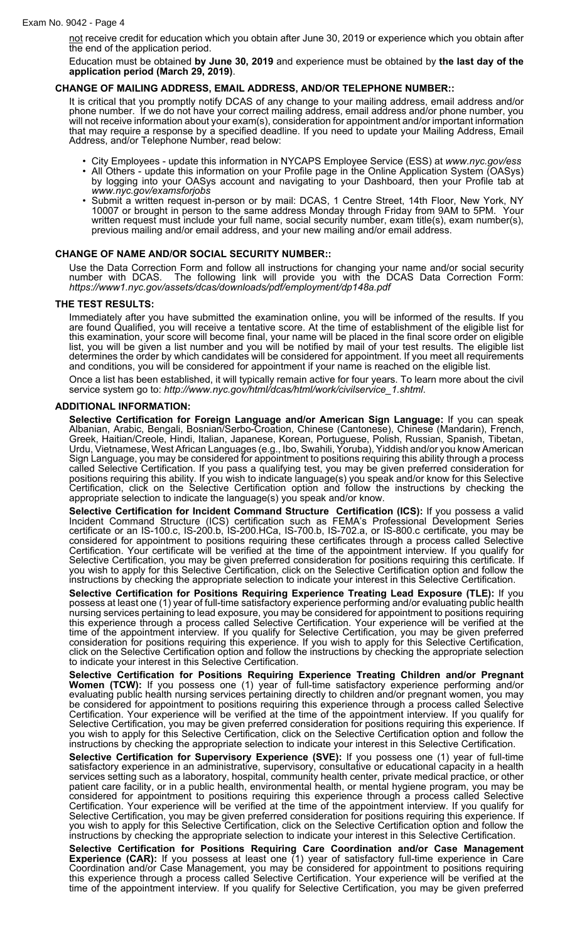not receive credit for education which you obtain after June 30, 2019 or experience which you obtain after the end of the application period.

Education must be obtained **by June 30, 2019** and experience must be obtained by **the last day of the application period (March 29, 2019)**.

## **CHANGE OF MAILING ADDRESS, EMAIL ADDRESS, AND/OR TELEPHONE NUMBER::**

It is critical that you promptly notify DCAS of any change to your mailing address, email address and/or phone number. If we do not have your correct mailing address, email address and/or phone number, you will not receive information about your exam(s), consideration for appointment and/or important information that may require a response by a specified deadline. If you need to update your Mailing Address, Email Address, and/or Telephone Number, read below:

- City Employees update this information in NYCAPS Employee Service (ESS) at *www.nyc.gov/ess*
- All Others update this information on your Profile page in the Online Application System (OASys) by logging into your OASys account and navigating to your Dashboard, then your Profile tab at *www.nyc.gov/examsforjobs*
- Submit a written request in-person or by mail: DCAS, 1 Centre Street, 14th Floor, New York, NY 10007 or brought in person to the same address Monday through Friday from 9AM to 5PM. Your written request must include your full name, social security number, exam title(s), exam number(s), previous mailing and/or email address, and your new mailing and/or email address.

#### **CHANGE OF NAME AND/OR SOCIAL SECURITY NUMBER::**

Use the Data Correction Form and follow all instructions for changing your name and/or social security number with DCAS. The following link will provide you with the DCAS Data Correction Form: *https://www1.nyc.gov/assets/dcas/downloads/pdf/employment/dp148a.pdf*

## **THE TEST RESULTS:**

Immediately after you have submitted the examination online, you will be informed of the results. If you are found Qualified, you will receive a tentative score. At the time of establishment of the eligible list for this examination, your score will become final, your name will be placed in the final score order on eligible list, you will be given a list number and you will be notified by mail of your test results. The eligible list determines the order by which candidates will be considered for appointment. If you meet all requirements and conditions, you will be considered for appointment if your name is reached on the eligible list.

Once a list has been established, it will typically remain active for four years. To learn more about the civil service system go to: *http://www.nyc.gov/html/dcas/html/work/civilservice\_1.shtml*.

#### **ADDITIONAL INFORMATION:**

**Selective Certification for Foreign Language and/or American Sign Language:** If you can speak Albanian, Arabic, Bengali, Bosnian/Serbo-Croation, Chinese (Cantonese), Chinese (Mandarin), French, Greek, Haitian/Creole, Hindi, Italian, Japanese, Korean, Portuguese, Polish, Russian, Spanish, Tibetan, Urdu, Vietnamese, West African Languages (e.g., Ibo, Swahili, Yoruba), Yiddish and/or you know American Sign Language, you may be considered for appointment to positions requiring this ability through a process called Selective Certification. If you pass a qualifying test, you may be given preferred consideration for positions requiring this ability. If you wish to indicate language(s) you speak and/or know for this Selective Certification, click on the Selective Certification option and follow the instructions by checking the appropriate selection to indicate the language(s) you speak and/or know.

**Selective Certification for Incident Command Structure Certification (ICS):** If you possess a valid Incident Command Structure (ICS) certification such as FEMA's Professional Development Series certificate or an IS-100.c, IS-200.b, IS-200.HCa, IS-700.b, IS-702.a, or IS-800.c certificate, you may be considered for appointment to positions requiring these certificates through a process called Selective Certification. Your certificate will be verified at the time of the appointment interview. If you qualify for Selective Certification, you may be given preferred consideration for positions requiring this certificate. If you wish to apply for this Selective Certification, click on the Selective Certification option and follow the instructions by checking the appropriate selection to indicate your interest in this Selective Certification.

**Selective Certification for Positions Requiring Experience Treating Lead Exposure (TLE):** If you possess at least one (1) year of full-time satisfactory experience performing and/or evaluating public health nursing services pertaining to lead exposure, you may be considered for appointment to positions requiring this experience through a process called Selective Certification. Your experience will be verified at the time of the appointment interview. If you qualify for Selective Certification, you may be given preferred consideration for positions requiring this experience. If you wish to apply for this Selective Certification, click on the Selective Certification option and follow the instructions by checking the appropriate selection to indicate your interest in this Selective Certification.

**Selective Certification for Positions Requiring Experience Treating Children and/or Pregnant Women (TCW):** If you possess one (1) year of full-time satisfactory experience performing and/or evaluating public health nursing services pertaining directly to children and/or pregnant women, you may be considered for appointment to positions requiring this experience through a process called Selective Certification. Your experience will be verified at the time of the appointment interview. If you qualify for Selective Certification, you may be given preferred consideration for positions requiring this experience. If you wish to apply for this Selective Certification, click on the Selective Certification option and follow the instructions by checking the appropriate selection to indicate your interest in this Selective Certification.

**Selective Certification for Supervisory Experience (SVE):** If you possess one (1) year of full-time satisfactory experience in an administrative, supervisory, consultative or educational capacity in a health services setting such as a laboratory, hospital, community health center, private medical practice, or other patient care facility, or in a public health, environmental health, or mental hygiene program, you may be considered for appointment to positions requiring this experience through a process called Selective Certification. Your experience will be verified at the time of the appointment interview. If you qualify for Selective Certification, you may be given preferred consideration for positions requiring this experience. If you wish to apply for this Selective Certification, click on the Selective Certification option and follow the instructions by checking the appropriate selection to indicate your interest in this Selective Certification.

**Selective Certification for Positions Requiring Care Coordination and/or Case Management Experience (CAR):** If you possess at least one (1) year of satisfactory full-time experience in Care Coordination and/or Case Management, you may be considered for appointment to positions requiring this experience through a process called Selective Certification. Your experience will be verified at the time of the appointment interview. If you qualify for Selective Certification, you may be given preferred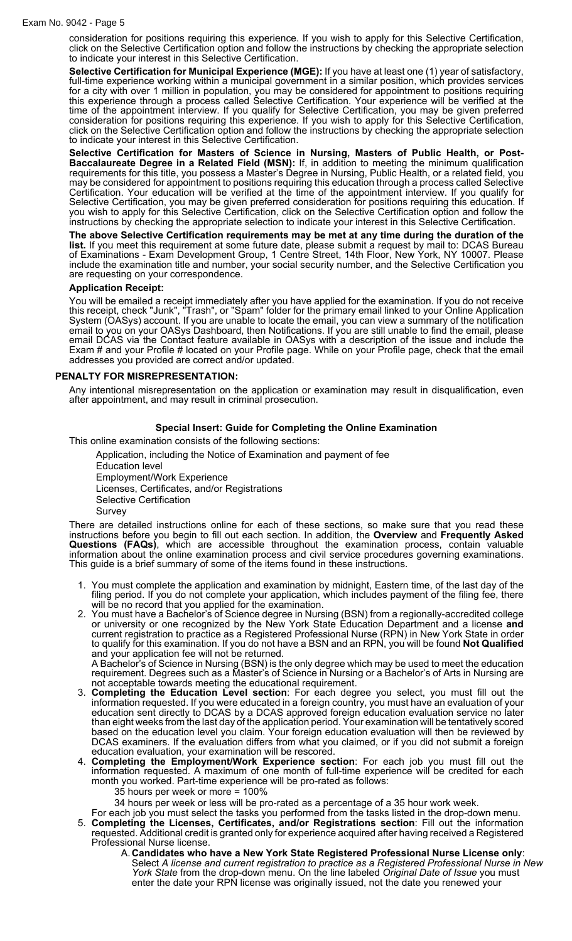consideration for positions requiring this experience. If you wish to apply for this Selective Certification, click on the Selective Certification option and follow the instructions by checking the appropriate selection to indicate your interest in this Selective Certification.

**Selective Certification for Municipal Experience (MGE):** If you have at least one (1) year of satisfactory, full-time experience working within a municipal government in a similar position, which provides services for a city with over 1 million in population, you may be considered for appointment to positions requiring this experience through a process called Selective Certification. Your experience will be verified at the time of the appointment interview. If you qualify for Selective Certification, you may be given preferred consideration for positions requiring this experience. If you wish to apply for this Selective Certification, click on the Selective Certification option and follow the instructions by checking the appropriate selection to indicate your interest in this Selective Certification.

**Selective Certification for Masters of Science in Nursing, Masters of Public Health, or Post-Baccalaureate Degree in a Related Field (MSN):** If, in addition to meeting the minimum qualification requirements for this title, you possess a Master's Degree in Nursing, Public Health, or a related field, you may be considered for appointment to positions requiring this education through a process called Selective Certification. Your education will be verified at the time of the appointment interview. If you qualify for Selective Certification, you may be given preferred consideration for positions requiring this education. If you wish to apply for this Selective Certification, click on the Selective Certification option and follow the instructions by checking the appropriate selection to indicate your interest in this Selective Certification.

**The above Selective Certification requirements may be met at any time during the duration of the list.** If you meet this requirement at some future date, please submit a request by mail to: DCAS Bureau of Examinations - Exam Development Group, 1 Centre Street, 14th Floor, New York, NY 10007. Please include the examination title and number, your social security number, and the Selective Certification you are requesting on your correspondence.

#### **Application Receipt:**

You will be emailed a receipt immediately after you have applied for the examination. If you do not receive this receipt, check "Junk", "Trash", or "Spam" folder for the primary email linked to your Online Application System (OASys) account. If you are unable to locate the email, you can view a summary of the notification email to you on your OASys Dashboard, then Notifications. If you are still unable to find the email, please email DCAS via the Contact feature available in OASys with a description of the issue and include the Exam # and your Profile # located on your Profile page. While on your Profile page, check that the email addresses you provided are correct and/or updated.

## **PENALTY FOR MISREPRESENTATION:**

Any intentional misrepresentation on the application or examination may result in disqualification, even after appointment, and may result in criminal prosecution.

## **Special Insert: Guide for Completing the Online Examination**

This online examination consists of the following sections:

Application, including the Notice of Examination and payment of fee Education level Employment/Work Experience Licenses, Certificates, and/or Registrations Selective Certification Survey

There are detailed instructions online for each of these sections, so make sure that you read these instructions before you begin to fill out each section. In addition, the **Overview** and **Frequently Asked Questions (FAQs)**, which are accessible throughout the examination process, contain valuable information about the online examination process and civil service procedures governing examinations. This guide is a brief summary of some of the items found in these instructions.

- 1. You must complete the application and examination by midnight, Eastern time, of the last day of the filing period. If you do not complete your application, which includes payment of the filing fee, there will be no record that you applied for the examination.
- 2. You must have a Bachelor's of Science degree in Nursing (BSN) from a regionally-accredited college or university or one recognized by the New York State Education Department and a license **and** current registration to practice as a Registered Professional Nurse (RPN) in New York State in order to qualify for this examination. If you do not have a BSN and an RPN, you will be found **Not Qualified** and your application fee will not be returned.

A Bachelor's of Science in Nursing (BSN) is the only degree which may be used to meet the education requirement. Degrees such as a Master's of Science in Nursing or a Bachelor's of Arts in Nursing are not acceptable towards meeting the educational requirement.

- 3. **Completing the Education Level section**: For each degree you select, you must fill out the information requested. If you were educated in a foreign country, you must have an evaluation of your education sent directly to DCAS by a DCAS approved foreign education evaluation service no later than eight weeks from the last day of the application period. Your examination will be tentatively scored based on the education level you claim. Your foreign education evaluation will then be reviewed by DCAS examiners. If the evaluation differs from what you claimed, or if you did not submit a foreign education evaluation, your examination will be rescored.
- 4. **Completing the Employment/Work Experience section**: For each job you must fill out the information requested. A maximum of one month of full-time experience will be credited for each month you worked. Part-time experience will be pro-rated as follows:
	- 35 hours per week or more = 100%
	- 34 hours per week or less will be pro-rated as a percentage of a 35 hour work week.
- For each job you must select the tasks you performed from the tasks listed in the drop-down menu. 5. **Completing the Licenses, Certificates, and/or Registrations section**: Fill out the information
- requested. Additional credit is granted only for experience acquired after having received a Registered Professional Nurse license.
	- A. **Candidates who have a New York State Registered Professional Nurse License only**: Select *A license and current registration to practice as a Registered Professional Nurse in New York State* from the drop-down menu. On the line labeled *Original Date of Issue* you must enter the date your RPN license was originally issued, not the date you renewed your